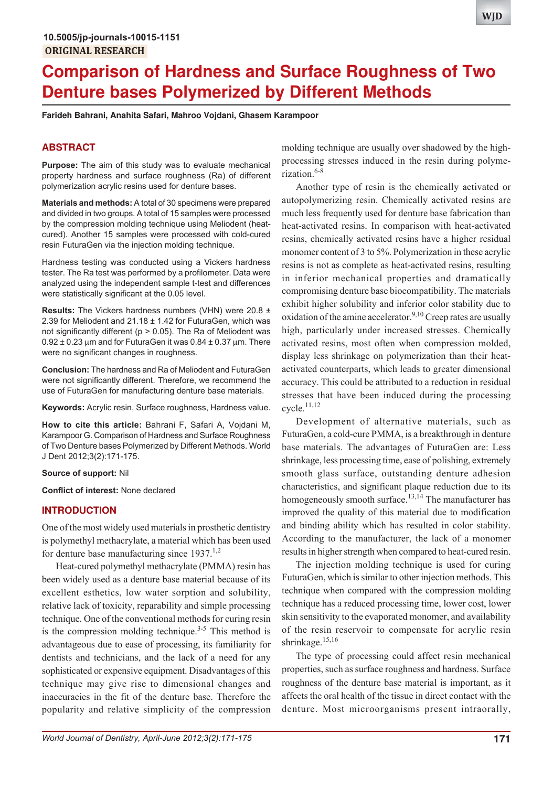# **Comparison of Hardness and Surface Roughness of Two Denture bases Polymerized by Different Methods**

**Farideh Bahrani, Anahita Safari, Mahroo Vojdani, Ghasem Karampoor**

# **ABSTRACT**

**Purpose:** The aim of this study was to evaluate mechanical property hardness and surface roughness (Ra) of different polymerization acrylic resins used for denture bases.

**Materials and methods:** A total of 30 specimens were prepared and divided in two groups. A total of 15 samples were processed by the compression molding technique using Meliodent (heatcured). Another 15 samples were processed with cold-cured resin FuturaGen via the injection molding technique.

Hardness testing was conducted using a Vickers hardness tester. The Ra test was performed by a profilometer. Data were analyzed using the independent sample t-test and differences were statistically significant at the 0.05 level.

**Results:** The Vickers hardness numbers (VHN) were 20.8 ± 2.39 for Meliodent and 21.18 ± 1.42 for FuturaGen, which was not significantly different ( $p > 0.05$ ). The Ra of Meliodent was  $0.92 \pm 0.23$  µm and for FuturaGen it was  $0.84 \pm 0.37$  µm. There were no significant changes in roughness.

**Conclusion:** The hardness and Ra of Meliodent and FuturaGen were not significantly different. Therefore, we recommend the use of FuturaGen for manufacturing denture base materials.

**Keywords:** Acrylic resin, Surface roughness, Hardness value.

**How to cite this article:** Bahrani F, Safari A, Vojdani M, Karampoor G. Comparison of Hardness and Surface Roughness of Two Denture bases Polymerized by Different Methods. World J Dent 2012;3(2):171-175.

#### **Source of support:** Nil

**Conflict of interest:** None declared

## **INTRODUCTION**

One of the most widely used materials in prosthetic dentistry is polymethyl methacrylate, a material which has been used for denture base manufacturing since  $1937$ <sup>1,2</sup>

Heat-cured polymethyl methacrylate (PMMA) resin has been widely used as a denture base material because of its excellent esthetics, low water sorption and solubility, relative lack of toxicity, reparability and simple processing technique. One of the conventional methods for curing resin is the compression molding technique.<sup>3-5</sup> This method is advantageous due to ease of processing, its familiarity for dentists and technicians, and the lack of a need for any sophisticated or expensive equipment. Disadvantages of this technique may give rise to dimensional changes and inaccuracies in the fit of the denture base. Therefore the popularity and relative simplicity of the compression

molding technique are usually over shadowed by the highprocessing stresses induced in the resin during polymerization $6-8$ 

Another type of resin is the chemically activated or autopolymerizing resin. Chemically activated resins are much less frequently used for denture base fabrication than heat-activated resins. In comparison with heat-activated resins, chemically activated resins have a higher residual monomer content of 3 to 5%. Polymerization in these acrylic resins is not as complete as heat-activated resins, resulting in inferior mechanical properties and dramatically compromising denture base biocompatibility. The materials exhibit higher solubility and inferior color stability due to oxidation of the amine accelerator.<sup>9,10</sup> Creep rates are usually high, particularly under increased stresses. Chemically activated resins, most often when compression molded, display less shrinkage on polymerization than their heatactivated counterparts, which leads to greater dimensional accuracy. This could be attributed to a reduction in residual stresses that have been induced during the processing cycle.11,12

Development of alternative materials, such as FuturaGen, a cold-cure PMMA, is a breakthrough in denture base materials. The advantages of FuturaGen are: Less shrinkage, less processing time, ease of polishing, extremely smooth glass surface, outstanding denture adhesion characteristics, and significant plaque reduction due to its homogeneously smooth surface.<sup>13,14</sup> The manufacturer has improved the quality of this material due to modification and binding ability which has resulted in color stability. According to the manufacturer, the lack of a monomer results in higher strength when compared to heat-cured resin.

The injection molding technique is used for curing FuturaGen, which is similar to other injection methods. This technique when compared with the compression molding technique has a reduced processing time, lower cost, lower skin sensitivity to the evaporated monomer, and availability of the resin reservoir to compensate for acrylic resin shrinkage.<sup>15,16</sup>

The type of processing could affect resin mechanical properties, such as surface roughness and hardness. Surface roughness of the denture base material is important, as it affects the oral health of the tissue in direct contact with the denture. Most microorganisms present intraorally,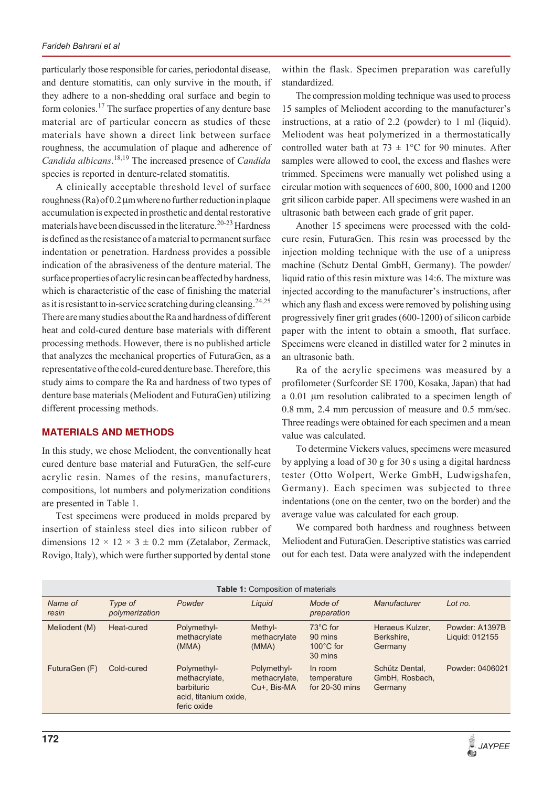particularly those responsible for caries, periodontal disease, and denture stomatitis, can only survive in the mouth, if they adhere to a non-shedding oral surface and begin to form colonies.<sup>17</sup> The surface properties of any denture base material are of particular concern as studies of these materials have shown a direct link between surface roughness, the accumulation of plaque and adherence of *Candida albicans*. 18,19 The increased presence of *Candida* species is reported in denture-related stomatitis.

A clinically acceptable threshold level of surface roughness  $(Ra)$  of 0.2  $\mu$ m where no further reduction in plaque accumulation is expected in prosthetic and dental restorative materials have been discussed in the literature.<sup>20-23</sup> Hardness is defined as the resistance of a material to permanent surface indentation or penetration. Hardness provides a possible indication of the abrasiveness of the denture material. The surface properties of acrylic resin can be affected by hardness, which is characteristic of the ease of finishing the material as it is resistant to in-service scratching during cleansing.<sup>24,25</sup> There are many studies about the Ra and hardness of different heat and cold-cured denture base materials with different processing methods. However, there is no published article that analyzes the mechanical properties of FuturaGen, as a representative of the cold-cured denture base. Therefore, this study aims to compare the Ra and hardness of two types of denture base materials (Meliodent and FuturaGen) utilizing different processing methods.

# **MATERIALS AND METHODS**

In this study, we chose Meliodent, the conventionally heat cured denture base material and FuturaGen, the self-cure acrylic resin. Names of the resins, manufacturers, compositions, lot numbers and polymerization conditions are presented in Table 1.

Test specimens were produced in molds prepared by insertion of stainless steel dies into silicon rubber of dimensions  $12 \times 12 \times 3 \pm 0.2$  mm (Zetalabor, Zermack, Rovigo, Italy), which were further supported by dental stone

within the flask. Specimen preparation was carefully standardized.

The compression molding technique was used to process 15 samples of Meliodent according to the manufacturer's instructions, at a ratio of 2.2 (powder) to 1 ml (liquid). Meliodent was heat polymerized in a thermostatically controlled water bath at  $73 \pm 1$ °C for 90 minutes. After samples were allowed to cool, the excess and flashes were trimmed. Specimens were manually wet polished using a circular motion with sequences of 600, 800, 1000 and 1200 grit silicon carbide paper. All specimens were washed in an ultrasonic bath between each grade of grit paper.

Another 15 specimens were processed with the coldcure resin, FuturaGen. This resin was processed by the injection molding technique with the use of a unipress machine (Schutz Dental GmbH, Germany). The powder/ liquid ratio of this resin mixture was 14:6. The mixture was injected according to the manufacturer's instructions, after which any flash and excess were removed by polishing using progressively finer grit grades (600-1200) of silicon carbide paper with the intent to obtain a smooth, flat surface. Specimens were cleaned in distilled water for 2 minutes in an ultrasonic bath.

Ra of the acrylic specimens was measured by a profilometer (Surfcorder SE 1700, Kosaka, Japan) that had a 0.01 µm resolution calibrated to a specimen length of 0.8 mm, 2.4 mm percussion of measure and 0.5 mm/sec. Three readings were obtained for each specimen and a mean value was calculated.

To determine Vickers values, specimens were measured by applying a load of 30 g for 30 s using a digital hardness tester (Otto Wolpert, Werke GmbH, Ludwigshafen, Germany). Each specimen was subjected to three indentations (one on the center, two on the border) and the average value was calculated for each group.

We compared both hardness and roughness between Meliodent and FuturaGen. Descriptive statistics was carried out for each test. Data were analyzed with the independent

| <b>Table 1: Composition of materials</b> |                           |                                                                                    |                                             |                                                       |                                             |                                  |  |  |
|------------------------------------------|---------------------------|------------------------------------------------------------------------------------|---------------------------------------------|-------------------------------------------------------|---------------------------------------------|----------------------------------|--|--|
| Name of<br>resin                         | Type of<br>polymerization | Powder                                                                             | Liguid                                      | Mode of<br>preparation                                | Manufacturer                                | Lot no.                          |  |  |
| Meliodent (M)                            | Heat-cured                | Polymethyl-<br>methacrylate<br>(MMA)                                               | Methyl-<br>methacrylate<br>(MMA)            | 73°C for<br>90 mins<br>$100^{\circ}$ C for<br>30 mins | Heraeus Kulzer.<br>Berkshire.<br>Germany    | Powder: A1397B<br>Liquid: 012155 |  |  |
| FuturaGen (F)                            | Cold-cured                | Polymethyl-<br>methacrylate,<br>barbituric<br>acid, titanium oxide,<br>feric oxide | Polymethyl-<br>methacrylate,<br>Cu+, Bis-MA | In room<br>temperature<br>for $20-30$ mins            | Schütz Dental.<br>GmbH, Rosbach,<br>Germany | Powder: 0406021                  |  |  |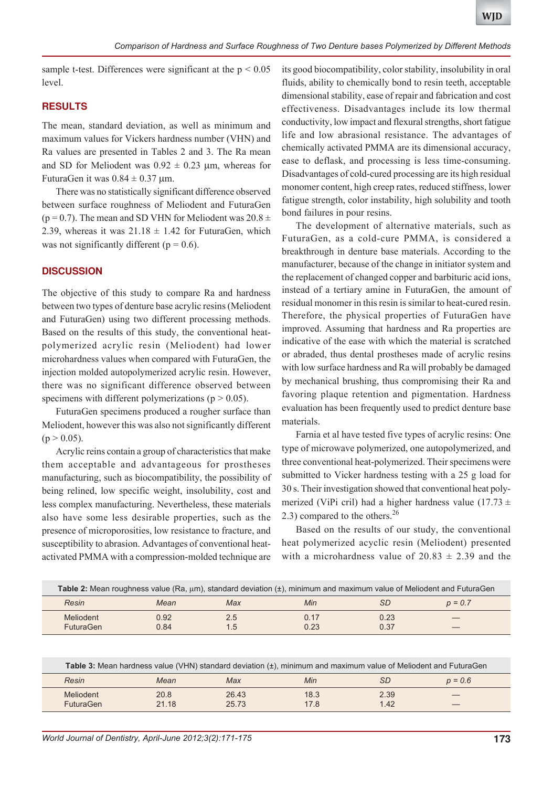sample t-test. Differences were significant at the  $p < 0.05$ level.

## **RESULTS**

The mean, standard deviation, as well as minimum and maximum values for Vickers hardness number (VHN) and Ra values are presented in Tables 2 and 3. The Ra mean and SD for Meliodent was  $0.92 \pm 0.23$  µm, whereas for FuturaGen it was  $0.84 \pm 0.37$  µm.

There was no statistically significant difference observed between surface roughness of Meliodent and FuturaGen ( $p = 0.7$ ). The mean and SD VHN for Meliodent was  $20.8 \pm$ 2.39, whereas it was  $21.18 \pm 1.42$  for FuturaGen, which was not significantly different ( $p = 0.6$ ).

## **DISCUSSION**

The objective of this study to compare Ra and hardness between two types of denture base acrylic resins (Meliodent and FuturaGen) using two different processing methods. Based on the results of this study, the conventional heatpolymerized acrylic resin (Meliodent) had lower microhardness values when compared with FuturaGen, the injection molded autopolymerized acrylic resin. However, there was no significant difference observed between specimens with different polymerizations ( $p > 0.05$ ).

FuturaGen specimens produced a rougher surface than Meliodent, however this was also not significantly different  $(p > 0.05)$ .

Acrylic reins contain a group of characteristics that make them acceptable and advantageous for prostheses manufacturing, such as biocompatibility, the possibility of being relined, low specific weight, insolubility, cost and less complex manufacturing. Nevertheless, these materials also have some less desirable properties, such as the presence of microporosities, low resistance to fracture, and susceptibility to abrasion. Advantages of conventional heatactivated PMMA with a compression-molded technique are

its good biocompatibility, color stability, insolubility in oral fluids, ability to chemically bond to resin teeth, acceptable dimensional stability, ease of repair and fabrication and cost effectiveness. Disadvantages include its low thermal conductivity, low impact and flexural strengths, short fatigue life and low abrasional resistance. The advantages of chemically activated PMMA are its dimensional accuracy, ease to deflask, and processing is less time-consuming. Disadvantages of cold-cured processing are its high residual monomer content, high creep rates, reduced stiffness, lower fatigue strength, color instability, high solubility and tooth bond failures in pour resins.

The development of alternative materials, such as FuturaGen, as a cold-cure PMMA, is considered a breakthrough in denture base materials. According to the manufacturer, because of the change in initiator system and the replacement of changed copper and barbituric acid ions, instead of a tertiary amine in FuturaGen, the amount of residual monomer in this resin is similar to heat-cured resin. Therefore, the physical properties of FuturaGen have improved. Assuming that hardness and Ra properties are indicative of the ease with which the material is scratched or abraded, thus dental prostheses made of acrylic resins with low surface hardness and Ra will probably be damaged by mechanical brushing, thus compromising their Ra and favoring plaque retention and pigmentation. Hardness evaluation has been frequently used to predict denture base materials.

Farnia et al have tested five types of acrylic resins: One type of microwave polymerized, one autopolymerized, and three conventional heat-polymerized. Their specimens were submitted to Vicker hardness testing with a 25 g load for 30 s. Their investigation showed that conventional heat polymerized (ViPi cril) had a higher hardness value (17.73  $\pm$ 2.3) compared to the others. $^{26}$ 

Based on the results of our study, the conventional heat polymerized acyclic resin (Meliodent) presented with a microhardness value of  $20.83 \pm 2.39$  and the

| Table 2: Mean roughness value (Ra, um), standard deviation (±), minimum and maximum value of Meliodent and FuturaGen |              |            |              |              |           |  |
|----------------------------------------------------------------------------------------------------------------------|--------------|------------|--------------|--------------|-----------|--|
| Resin                                                                                                                | Mean         | Max        | Min          | SЕ           | $p = 0.7$ |  |
| Meliodent<br><b>FuturaGen</b>                                                                                        | 0.92<br>0.84 | 2.5<br>1.5 | 0.17<br>0.23 | 0.23<br>0.37 |           |  |

| Table 3: Mean hardness value (VHN) standard deviation (±), minimum and maximum value of Meliodent and FuturaGen |       |       |      |      |           |  |
|-----------------------------------------------------------------------------------------------------------------|-------|-------|------|------|-----------|--|
| Resin                                                                                                           | Mean  | Max   | Min  | SЕ   | $p = 0.6$ |  |
| Meliodent                                                                                                       | 20.8  | 26.43 | 18.3 | 2.39 |           |  |
| <b>FuturaGen</b>                                                                                                | 21.18 | 25.73 | 17.8 | 1.42 |           |  |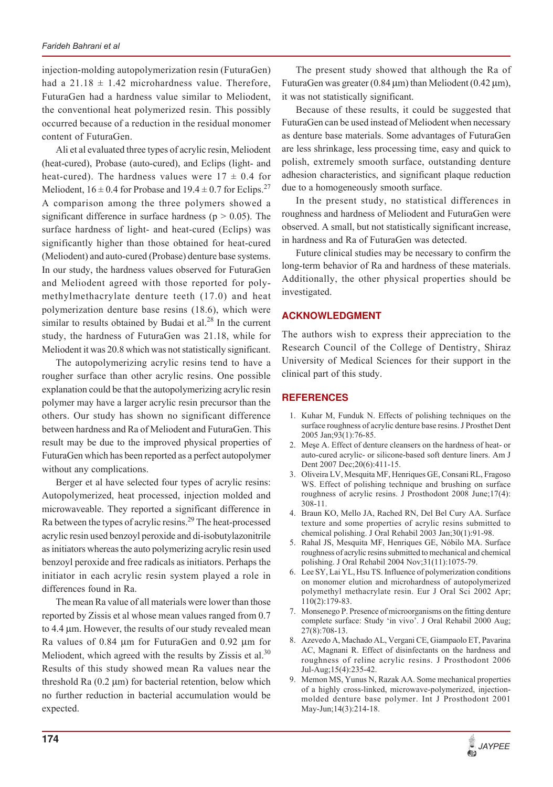injection-molding autopolymerization resin (FuturaGen) had a  $21.18 \pm 1.42$  microhardness value. Therefore, FuturaGen had a hardness value similar to Meliodent, the conventional heat polymerized resin. This possibly occurred because of a reduction in the residual monomer content of FuturaGen.

Ali et al evaluated three types of acrylic resin, Meliodent (heat-cured), Probase (auto-cured), and Eclips (light- and heat-cured). The hardness values were  $17 \pm 0.4$  for Meliodent,  $16 \pm 0.4$  for Probase and  $19.4 \pm 0.7$  for Eclips.<sup>27</sup> A comparison among the three polymers showed a significant difference in surface hardness ( $p > 0.05$ ). The surface hardness of light- and heat-cured (Eclips) was significantly higher than those obtained for heat-cured (Meliodent) and auto-cured (Probase) denture base systems. In our study, the hardness values observed for FuturaGen and Meliodent agreed with those reported for polymethylmethacrylate denture teeth (17.0) and heat polymerization denture base resins (18.6), which were similar to results obtained by Budai et al. $^{28}$  In the current study, the hardness of FuturaGen was 21.18, while for Meliodent it was 20.8 which was not statistically significant.

The autopolymerizing acrylic resins tend to have a rougher surface than other acrylic resins. One possible explanation could be that the autopolymerizing acrylic resin polymer may have a larger acrylic resin precursor than the others. Our study has shown no significant difference between hardness and Ra of Meliodent and FuturaGen. This result may be due to the improved physical properties of FuturaGen which has been reported as a perfect autopolymer without any complications.

Berger et al have selected four types of acrylic resins: Autopolymerized, heat processed, injection molded and microwaveable. They reported a significant difference in Ra between the types of acrylic resins.<sup>29</sup> The heat-processed acrylic resin used benzoyl peroxide and di-isobutylazonitrile as initiators whereas the auto polymerizing acrylic resin used benzoyl peroxide and free radicals as initiators. Perhaps the initiator in each acrylic resin system played a role in differences found in Ra.

The mean Ra value of all materials were lower than those reported by Zissis et al whose mean values ranged from 0.7 to 4.4  $\mu$ m. However, the results of our study revealed mean Ra values of  $0.84 \mu m$  for FuturaGen and  $0.92 \mu m$  for Meliodent, which agreed with the results by Zissis et al.<sup>30</sup> Results of this study showed mean Ra values near the threshold  $Ra(0.2 \mu m)$  for bacterial retention, below which no further reduction in bacterial accumulation would be expected.

The present study showed that although the Ra of FuturaGen was greater  $(0.84 \,\mu\text{m})$  than Meliodent  $(0.42 \,\mu\text{m})$ , it was not statistically significant.

Because of these results, it could be suggested that FuturaGen can be used instead of Meliodent when necessary as denture base materials. Some advantages of FuturaGen are less shrinkage, less processing time, easy and quick to polish, extremely smooth surface, outstanding denture adhesion characteristics, and significant plaque reduction due to a homogeneously smooth surface.

In the present study, no statistical differences in roughness and hardness of Meliodent and FuturaGen were observed. A small, but not statistically significant increase, in hardness and Ra of FuturaGen was detected.

Future clinical studies may be necessary to confirm the long-term behavior of Ra and hardness of these materials. Additionally, the other physical properties should be investigated.

# **ACKNOWLEDGMENT**

The authors wish to express their appreciation to the Research Council of the College of Dentistry, Shiraz University of Medical Sciences for their support in the clinical part of this study.

# **REFERENCES**

- 1. Kuhar M, Funduk N. Effects of polishing techniques on the surface roughness of acrylic denture base resins. J Prosthet Dent 2005 Jan;93(1):76-85.
- 2. Mese A. Effect of denture cleansers on the hardness of heat- or auto-cured acrylic- or silicone-based soft denture liners. Am J Dent 2007 Dec;20(6):411-15.
- 3. Oliveira LV, Mesquita MF, Henriques GE, Consani RL, Fragoso WS. Effect of polishing technique and brushing on surface roughness of acrylic resins. J Prosthodont 2008 June;17(4): 308-11.
- 4. Braun KO, Mello JA, Rached RN, Del Bel Cury AA. Surface texture and some properties of acrylic resins submitted to chemical polishing. J Oral Rehabil 2003 Jan;30(1):91-98.
- 5. Rahal JS, Mesquita MF, Henriques GE, Nóbilo MA. Surface roughness of acrylic resins submitted to mechanical and chemical polishing. J Oral Rehabil 2004 Nov;31(11):1075-79.
- 6. Lee SY, Lai YL, Hsu TS. Influence of polymerization conditions on monomer elution and microhardness of autopolymerized polymethyl methacrylate resin. Eur J Oral Sci 2002 Apr; 110(2):179-83.
- 7. Monsenego P. Presence of microorganisms on the fitting denture complete surface: Study 'in vivo'. J Oral Rehabil 2000 Aug; 27(8):708-13.
- 8. Azevedo A, Machado AL, Vergani CE, Giampaolo ET, Pavarina AC, Magnani R. Effect of disinfectants on the hardness and roughness of reline acrylic resins. J Prosthodont 2006 Jul-Aug;15(4):235-42.
- 9. Memon MS, Yunus N, Razak AA. Some mechanical properties of a highly cross-linked, microwave-polymerized, injectionmolded denture base polymer. Int J Prosthodont 2001 May-Jun;14(3):214-18.